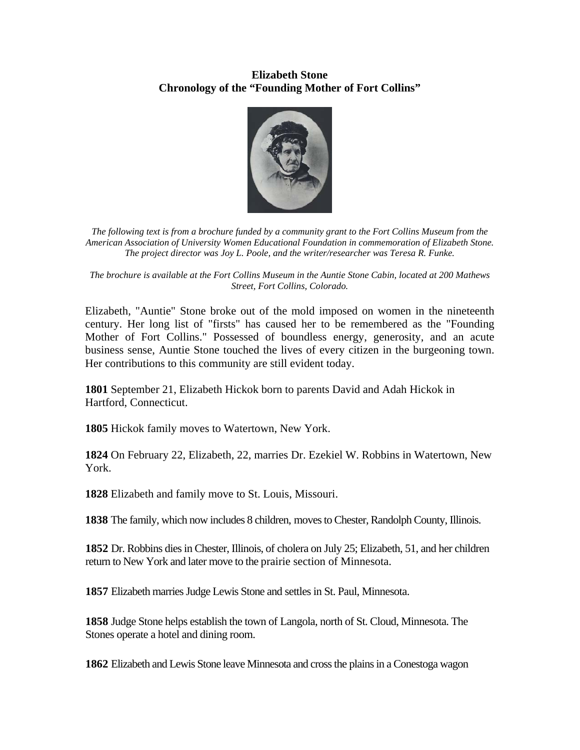## **Elizabeth Stone Chronology of the "Founding Mother of Fort Collins"**



*The following text is from a brochure funded by a community grant to the Fort Collins Museum from the American Association of University Women Educational Foundation in commemoration of Elizabeth Stone. The project director was Joy L. Poole, and the writer/researcher was Teresa R. Funke.* 

*The brochure is available at the Fort Collins Museum in the Auntie Stone Cabin, located at 200 Mathews Street, Fort Collins, Colorado.* 

Elizabeth, "Auntie" Stone broke out of the mold imposed on women in the nineteenth century. Her long list of "firsts" has caused her to be remembered as the "Founding Mother of Fort Collins." Possessed of boundless energy, generosity, and an acute business sense, Auntie Stone touched the lives of every citizen in the burgeoning town. Her contributions to this community are still evident today.

**1801** September 21, Elizabeth Hickok born to parents David and Adah Hickok in Hartford, Connecticut.

**1805** Hickok family moves to Watertown, New York.

**1824** On February 22, Elizabeth, 22, marries Dr. Ezekiel W. Robbins in Watertown, New York.

**1828** Elizabeth and family move to St. Louis, Missouri.

**1838** The family, which now includes 8 children, moves to Chester, Randolph County, Illinois.

**1852** Dr. Robbins dies in Chester, Illinois, of cholera on July 25; Elizabeth, 51, and her children return to New York and later move to the prairie section of Minnesota.

**1857** Elizabeth marries Judge Lewis Stone and settles in St. Paul, Minnesota.

**1858** Judge Stone helps establish the town of Langola, north of St. Cloud, Minnesota. The Stones operate a hotel and dining room.

**1862** Elizabeth and Lewis Stone leave Minnesota and cross the plains in a Conestoga wagon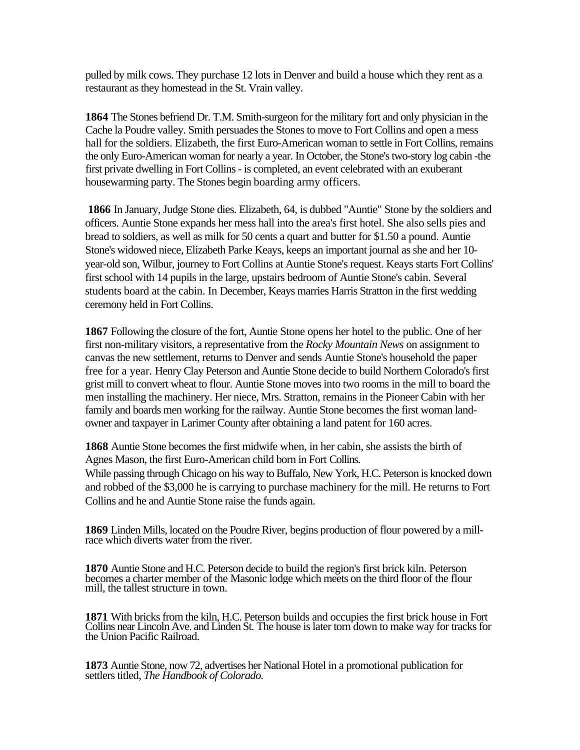pulled by milk cows. They purchase 12 lots in Denver and build a house which they rent as a restaurant as they homestead in the St. Vrain valley.

**1864** The Stones befriend Dr. T.M. Smith-surgeon for the military fort and only physician in the Cache la Poudre valley. Smith persuades the Stones to move to Fort Collins and open a mess hall for the soldiers. Elizabeth, the first Euro-American woman to settle in Fort Collins, remains the only Euro-American woman for nearly a year. In October, the Stone's two-story log cabin -the first private dwelling in Fort Collins - is completed, an event celebrated with an exuberant housewarming party. The Stones begin boarding army officers.

 **1866** In January, Judge Stone dies. Elizabeth, 64, is dubbed "Auntie" Stone by the soldiers and officers. Auntie Stone expands her mess hall into the area's first hotel. She also sells pies and bread to soldiers, as well as milk for 50 cents a quart and butter for \$1.50 a pound. Auntie Stone's widowed niece, Elizabeth Parke Keays, keeps an important journal as she and her 10 year-old son, Wilbur, journey to Fort Collins at Auntie Stone's request. Keays starts Fort Collins' first school with 14 pupils in the large, upstairs bedroom of Auntie Stone's cabin. Several students board at the cabin. In December, Keays marries Harris Stratton in the first wedding ceremony held in Fort Collins.

**1867** Following the closure of the fort, Auntie Stone opens her hotel to the public. One of her first non-military visitors, a representative from the *Rocky Mountain News* on assignment to canvas the new settlement, returns to Denver and sends Auntie Stone's household the paper free for a year. Henry Clay Peterson and Auntie Stone decide to build Northern Colorado's first grist mill to convert wheat to flour. Auntie Stone moves into two rooms in the mill to board the men installing the machinery. Her niece, Mrs. Stratton, remains in the Pioneer Cabin with her family and boards men working for the railway. Auntie Stone becomes the first woman landowner and taxpayer in Larimer County after obtaining a land patent for 160 acres.

**1868** Auntie Stone becomes the first midwife when, in her cabin, she assists the birth of Agnes Mason, the first Euro-American child born in Fort Collins. While passing through Chicago on his way to Buffalo, New York, H.C. Peterson is knocked down and robbed of the \$3,000 he is carrying to purchase machinery for the mill. He returns to Fort Collins and he and Auntie Stone raise the funds again.

**<sup>1869</sup>** Linden Mills, located on the Poudre River, begins production of flour powered by a mill- race which diverts water from the river.

**1870** Auntie Stone and H.C. Peterson decide to build the region's first brick kiln. Peterson becomes a charter member of the Masonic lodge which meets on the third floor of the flour mill, the tallest structure in town.

**1871** With bricks from the kiln, H.C. Peterson builds and occupies the first brick house in Fort Collins near Lincoln Ave. and Linden St. The house is later torn down to make way for tracks for the Union Pacific Railroad.

**<sup>1873</sup>**Auntie Stone, now 72, advertises her National Hotel in a promotional publication for settlers titled, *The Handbook of Colorado.*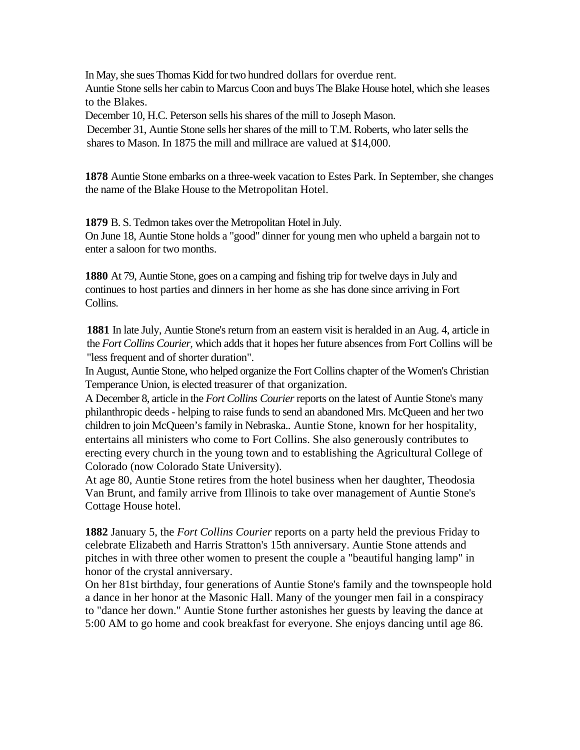In May, she sues Thomas Kidd for two hundred dollars for overdue rent. Auntie Stone sells her cabin to Marcus Coon and buys The Blake House hotel, which she leases to the Blakes.

December 10, H.C. Peterson sells his shares of the mill to Joseph Mason.

December 31, Auntie Stone sells her shares of the mill to T.M. Roberts, who later sells the shares to Mason. In 1875 the mill and millrace are valued at \$14,000.

**1878** Auntie Stone embarks on a three-week vacation to Estes Park. In September, she changes the name of the Blake House to the Metropolitan Hotel.

**1879** B. S. Tedmon takes over the Metropolitan Hotel in July. On June 18, Auntie Stone holds a "good" dinner for young men who upheld a bargain not to enter a saloon for two months.

**1880** At 79, Auntie Stone, goes on a camping and fishing trip for twelve days in July and continues to host parties and dinners in her home as she has done since arriving in Fort Collins.

**1881** In late July, Auntie Stone's return from an eastern visit is heralded in an Aug. 4, article in the *Fort Collins Courier,* which adds that it hopes her future absences from Fort Collins will be "less frequent and of shorter duration".

In August, Auntie Stone, who helped organize the Fort Collins chapter of the Women's Christian Temperance Union, is elected treasurer of that organization.

A December 8, article in the *Fort Collins Courier* reports on the latest of Auntie Stone's many philanthropic deeds - helping to raise funds to send an abandoned Mrs. McQueen and her two children to join McQueen's family in Nebraska.. Auntie Stone, known for her hospitality, entertains all ministers who come to Fort Collins. She also generously contributes to erecting every church in the young town and to establishing the Agricultural College of Colorado (now Colorado State University).

At age 80, Auntie Stone retires from the hotel business when her daughter, Theodosia Van Brunt, and family arrive from Illinois to take over management of Auntie Stone's Cottage House hotel.

**1882** January 5, the *Fort Collins Courier* reports on a party held the previous Friday to celebrate Elizabeth and Harris Stratton's 15th anniversary. Auntie Stone attends and pitches in with three other women to present the couple a "beautiful hanging lamp" in honor of the crystal anniversary.

On her 81st birthday, four generations of Auntie Stone's family and the townspeople hold a dance in her honor at the Masonic Hall. Many of the younger men fail in a conspiracy to "dance her down." Auntie Stone further astonishes her guests by leaving the dance at 5:00 AM to go home and cook breakfast for everyone. She enjoys dancing until age 86.